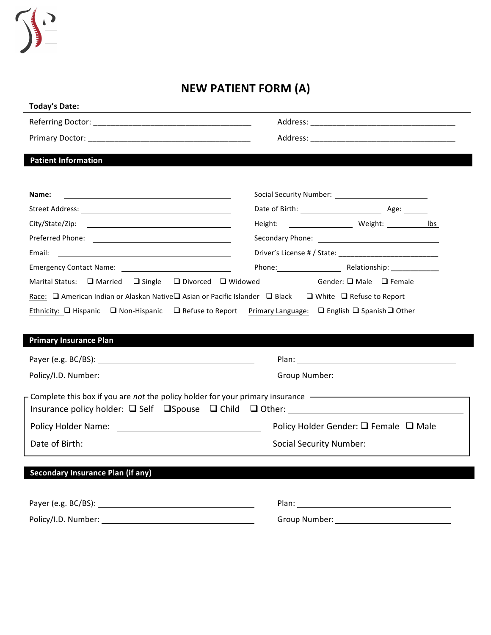

| Today's Date:                                                                                                                  |                                                                                                                                     |  |
|--------------------------------------------------------------------------------------------------------------------------------|-------------------------------------------------------------------------------------------------------------------------------------|--|
|                                                                                                                                |                                                                                                                                     |  |
|                                                                                                                                |                                                                                                                                     |  |
| <b>Patient Information</b>                                                                                                     |                                                                                                                                     |  |
| Name:                                                                                                                          |                                                                                                                                     |  |
|                                                                                                                                |                                                                                                                                     |  |
|                                                                                                                                |                                                                                                                                     |  |
|                                                                                                                                |                                                                                                                                     |  |
| Email:<br><u> 1980 - Andrea State Barbara, amerikan personal di sebagai personal di sebagai personal di sebagai personal d</u> |                                                                                                                                     |  |
|                                                                                                                                |                                                                                                                                     |  |
| Marital Status: $\Box$ Married $\Box$ Single $\Box$ Divorced $\Box$ Widowed                                                    | Gender: □ Male □ Female                                                                                                             |  |
|                                                                                                                                | Ethnicity: $\Box$ Hispanic $\Box$ Non-Hispanic $\Box$ Refuse to Report Primary Language: $\Box$ English $\Box$ Spanish $\Box$ Other |  |
|                                                                                                                                |                                                                                                                                     |  |
|                                                                                                                                |                                                                                                                                     |  |
|                                                                                                                                |                                                                                                                                     |  |
| Complete this box if you are not the policy holder for your primary insurance ————————————————————                             |                                                                                                                                     |  |
| <b>Primary Insurance Plan</b><br>Policy Holder Name: <u>_______________________________</u>                                    | Policy Holder Gender: $\Box$ Female $\Box$ Male                                                                                     |  |
|                                                                                                                                | Social Security Number: Social Security Number:                                                                                     |  |
| <b>Secondary Insurance Plan (if any)</b>                                                                                       |                                                                                                                                     |  |
|                                                                                                                                |                                                                                                                                     |  |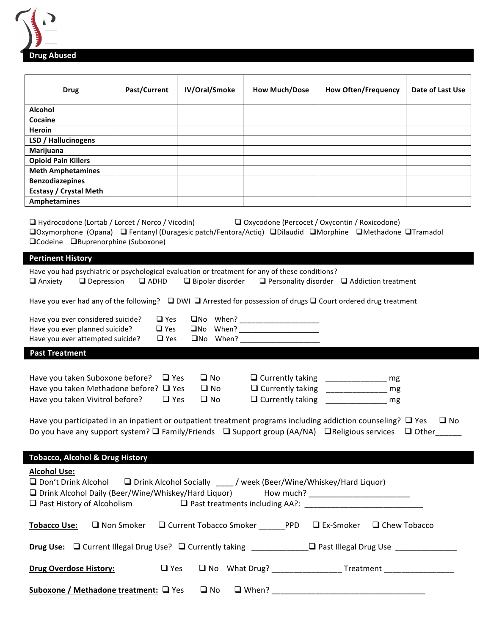

| <b>Drug</b>                                                                                                                                                                                                                                                 | Past/Current                           | IV/Oral/Smoke                                | <b>How Much/Dose</b>               | <b>How Often/Frequency</b>                                                              | Date of Last Use |
|-------------------------------------------------------------------------------------------------------------------------------------------------------------------------------------------------------------------------------------------------------------|----------------------------------------|----------------------------------------------|------------------------------------|-----------------------------------------------------------------------------------------|------------------|
| <b>Alcohol</b>                                                                                                                                                                                                                                              |                                        |                                              |                                    |                                                                                         |                  |
| Cocaine                                                                                                                                                                                                                                                     |                                        |                                              |                                    |                                                                                         |                  |
| Heroin                                                                                                                                                                                                                                                      |                                        |                                              |                                    |                                                                                         |                  |
| LSD / Hallucinogens                                                                                                                                                                                                                                         |                                        |                                              |                                    |                                                                                         |                  |
| Marijuana                                                                                                                                                                                                                                                   |                                        |                                              |                                    |                                                                                         |                  |
| <b>Opioid Pain Killers</b>                                                                                                                                                                                                                                  |                                        |                                              |                                    |                                                                                         |                  |
| <b>Meth Amphetamines</b>                                                                                                                                                                                                                                    |                                        |                                              |                                    |                                                                                         |                  |
| <b>Benzodiazepines</b>                                                                                                                                                                                                                                      |                                        |                                              |                                    |                                                                                         |                  |
| <b>Ecstasy / Crystal Meth</b>                                                                                                                                                                                                                               |                                        |                                              |                                    |                                                                                         |                  |
| <b>Amphetamines</b>                                                                                                                                                                                                                                         |                                        |                                              |                                    |                                                                                         |                  |
|                                                                                                                                                                                                                                                             |                                        |                                              |                                    |                                                                                         |                  |
| $\Box$ Hydrocodone (Lortab / Lorcet / Norco / Vicodin)<br>□ Oxycodone (Percocet / Oxycontin / Roxicodone)<br>□Oxymorphone (Opana) □ Fentanyl (Duragesic patch/Fentora/Actiq) □Dilaudid □Morphine □Methadone □Tramadol<br>□Codeine □Buprenorphine (Suboxone) |                                        |                                              |                                    |                                                                                         |                  |
| <b>Pertinent History</b>                                                                                                                                                                                                                                    |                                        |                                              |                                    |                                                                                         |                  |
| Have you had psychiatric or psychological evaluation or treatment for any of these conditions?<br>$\Box$ Anxiety                                                                                                                                            | $\Box$ Depression $\Box$ ADHD          |                                              |                                    | $\Box$ Bipolar disorder $\Box$ Personality disorder $\Box$ Addiction treatment          |                  |
| Have you ever had any of the following? $\Box$ DWI $\Box$ Arrested for possession of drugs $\Box$ Court ordered drug treatment                                                                                                                              |                                        |                                              |                                    |                                                                                         |                  |
| Have you ever considered suicide?<br>Have you ever planned suicide?<br>Have you ever attempted suicide?                                                                                                                                                     | $\Box$ Yes<br>$\Box$ Yes<br>$\Box$ Yes |                                              |                                    |                                                                                         |                  |
|                                                                                                                                                                                                                                                             |                                        |                                              |                                    |                                                                                         |                  |
| <b>Past Treatment</b>                                                                                                                                                                                                                                       |                                        |                                              |                                    |                                                                                         |                  |
| Have you taken Suboxone before? $\Box$ Yes<br>Have you taken Methadone before? □ Yes<br>Have you taken Vivitrol before?                                                                                                                                     | $\Box$ Yes                             | $\square$ No<br>$\square$ No<br>$\square$ No | Q Currently taking _______________ | Q Currently taking _________________ mg<br>Q Currently taking ________________ mg<br>mg |                  |
| Have you participated in an inpatient or outpatient treatment programs including addiction counseling? $\Box$ Yes<br>$\square$ No<br>Do you have any support system? ■ Family/Friends ■ Support group (AA/NA) ■ Religious services ■ Other_____             |                                        |                                              |                                    |                                                                                         |                  |
| <b>Tobacco, Alcohol &amp; Drug History</b>                                                                                                                                                                                                                  |                                        |                                              |                                    |                                                                                         |                  |
| <b>Alcohol Use:</b><br>□ Don't Drink Alcohol □ Drink Alcohol Socially / week (Beer/Wine/Whiskey/Hard Liquor)<br>D Drink Alcohol Daily (Beer/Wine/Whiskey/Hard Liquor) How much? _______________________                                                     |                                        |                                              |                                    |                                                                                         |                  |
| <b>Tobacco Use:</b>                                                                                                                                                                                                                                         |                                        |                                              |                                    | □ Non Smoker □ Current Tobacco Smoker ________ PPD □ Ex-Smoker □ Chew Tobacco           |                  |
| Drug Use: □ Current Illegal Drug Use? □ Currently taking ____________□ Past Illegal Drug Use _____________                                                                                                                                                  |                                        |                                              |                                    |                                                                                         |                  |
| <b>Drug Overdose History:</b>                                                                                                                                                                                                                               | $\Box$ Yes                             |                                              |                                    | □ No What Drug? ___________________ Treatment ________________                          |                  |
| Suboxone / Methadone treatment: □ Yes                                                                                                                                                                                                                       |                                        | $\square$ No                                 |                                    |                                                                                         |                  |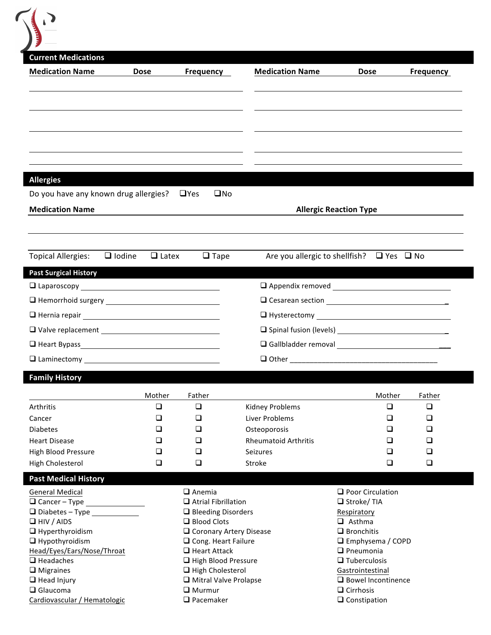| <b>Current Medications</b>                                                                                                                                                                                                                                                                                                                                                 |                               |                                                         |                                                     |                                               |        |                  |
|----------------------------------------------------------------------------------------------------------------------------------------------------------------------------------------------------------------------------------------------------------------------------------------------------------------------------------------------------------------------------|-------------------------------|---------------------------------------------------------|-----------------------------------------------------|-----------------------------------------------|--------|------------------|
| <b>Medication Name</b>                                                                                                                                                                                                                                                                                                                                                     | <b>Dose</b>                   | <b>Frequency</b>                                        | <b>Medication Name</b>                              | <b>Dose</b>                                   |        | <b>Frequency</b> |
|                                                                                                                                                                                                                                                                                                                                                                            |                               |                                                         |                                                     |                                               |        |                  |
|                                                                                                                                                                                                                                                                                                                                                                            |                               |                                                         |                                                     |                                               |        |                  |
|                                                                                                                                                                                                                                                                                                                                                                            |                               |                                                         |                                                     |                                               |        |                  |
|                                                                                                                                                                                                                                                                                                                                                                            |                               |                                                         |                                                     |                                               |        |                  |
| <b>Allergies</b>                                                                                                                                                                                                                                                                                                                                                           |                               |                                                         |                                                     |                                               |        |                  |
| Do you have any known drug allergies?                                                                                                                                                                                                                                                                                                                                      |                               | $\Box$ Yes<br>$\square$ No                              |                                                     |                                               |        |                  |
| <b>Medication Name</b>                                                                                                                                                                                                                                                                                                                                                     |                               |                                                         |                                                     | <b>Allergic Reaction Type</b>                 |        |                  |
|                                                                                                                                                                                                                                                                                                                                                                            |                               |                                                         |                                                     |                                               |        |                  |
|                                                                                                                                                                                                                                                                                                                                                                            |                               |                                                         |                                                     |                                               |        |                  |
| <b>Topical Allergies:</b>                                                                                                                                                                                                                                                                                                                                                  | $\Box$ Iodine<br>$\Box$ Latex | $\Box$ Tape                                             | Are you allergic to shellfish? $\Box$ Yes $\Box$ No |                                               |        |                  |
| <b>Past Surgical History</b>                                                                                                                                                                                                                                                                                                                                               |                               |                                                         |                                                     |                                               |        |                  |
| □ Laparoscopy <u>мартное соотнобо</u> пь на наши и полной при полно на наши и полно на наши и полно наши и полно на                                                                                                                                                                                                                                                        |                               |                                                         |                                                     |                                               |        |                  |
|                                                                                                                                                                                                                                                                                                                                                                            |                               |                                                         |                                                     |                                               |        |                  |
|                                                                                                                                                                                                                                                                                                                                                                            |                               |                                                         |                                                     |                                               |        |                  |
|                                                                                                                                                                                                                                                                                                                                                                            |                               |                                                         |                                                     |                                               |        |                  |
|                                                                                                                                                                                                                                                                                                                                                                            |                               |                                                         |                                                     |                                               |        |                  |
| $\square$ Laminectomy                                                                                                                                                                                                                                                                                                                                                      |                               |                                                         | $\Box$ Other                                        |                                               |        |                  |
| <b>Family History</b>                                                                                                                                                                                                                                                                                                                                                      |                               |                                                         |                                                     |                                               |        |                  |
|                                                                                                                                                                                                                                                                                                                                                                            | Mother                        | Father                                                  |                                                     |                                               | Mother | Father           |
| <b>Arthritis</b>                                                                                                                                                                                                                                                                                                                                                           | $\Box$                        | $\Box$                                                  | <b>Kidney Problems</b>                              |                                               | $\Box$ | $\Box$           |
| Cancer                                                                                                                                                                                                                                                                                                                                                                     | □                             | $\Box$                                                  | Liver Problems                                      |                                               | □      | □                |
| <b>Diabetes</b>                                                                                                                                                                                                                                                                                                                                                            | □                             | $\Box$                                                  | Osteoporosis                                        |                                               | ❏      | ❏                |
|                                                                                                                                                                                                                                                                                                                                                                            | □                             | $\Box$                                                  | <b>Rheumatoid Arthritis</b>                         |                                               | ❏      | □                |
|                                                                                                                                                                                                                                                                                                                                                                            |                               | $\Box$                                                  | <b>Seizures</b>                                     |                                               | ◻      | □<br>□           |
|                                                                                                                                                                                                                                                                                                                                                                            | $\Box$                        |                                                         |                                                     |                                               |        |                  |
|                                                                                                                                                                                                                                                                                                                                                                            | $\Box$                        | $\Box$                                                  | Stroke                                              |                                               | □      |                  |
|                                                                                                                                                                                                                                                                                                                                                                            |                               |                                                         |                                                     |                                               |        |                  |
|                                                                                                                                                                                                                                                                                                                                                                            |                               | $\Box$ Anemia                                           |                                                     | $\Box$ Poor Circulation                       |        |                  |
|                                                                                                                                                                                                                                                                                                                                                                            |                               | $\Box$ Atrial Fibrillation<br>$\Box$ Bleeding Disorders |                                                     | $\Box$ Stroke/TIA<br>Respiratory              |        |                  |
|                                                                                                                                                                                                                                                                                                                                                                            |                               | □ Blood Clots                                           |                                                     | $\Box$ Asthma                                 |        |                  |
|                                                                                                                                                                                                                                                                                                                                                                            |                               | □ Coronary Artery Disease                               |                                                     | $\Box$ Bronchitis                             |        |                  |
|                                                                                                                                                                                                                                                                                                                                                                            |                               | $\Box$ Cong. Heart Failure                              |                                                     | □ Emphysema / COPD                            |        |                  |
|                                                                                                                                                                                                                                                                                                                                                                            |                               | $\Box$ Heart Attack                                     |                                                     | $\Box$ Pneumonia                              |        |                  |
|                                                                                                                                                                                                                                                                                                                                                                            |                               | High Blood Pressure<br>$\Box$ High Cholesterol          |                                                     | $\Box$ Tuberculosis<br>Gastrointestinal       |        |                  |
| <b>Heart Disease</b><br>High Blood Pressure<br>High Cholesterol<br><b>Past Medical History</b><br><b>General Medical</b><br>$\Box$ Cancer - Type<br>□ Diabetes - Type _____________<br>$\Box$ HIV / AIDS<br>$\Box$ Hyperthyroidism<br>$\Box$ Hypothyroidism<br>Head/Eyes/Ears/Nose/Throat<br>$\Box$ Headaches<br>$\Box$ Migraines<br>$\Box$ Head Injury<br>$\Box$ Glaucoma |                               | Mitral Valve Prolapse<br>$\Box$ Murmur                  |                                                     | $\Box$ Bowel Incontinence<br>$\Box$ Cirrhosis |        |                  |